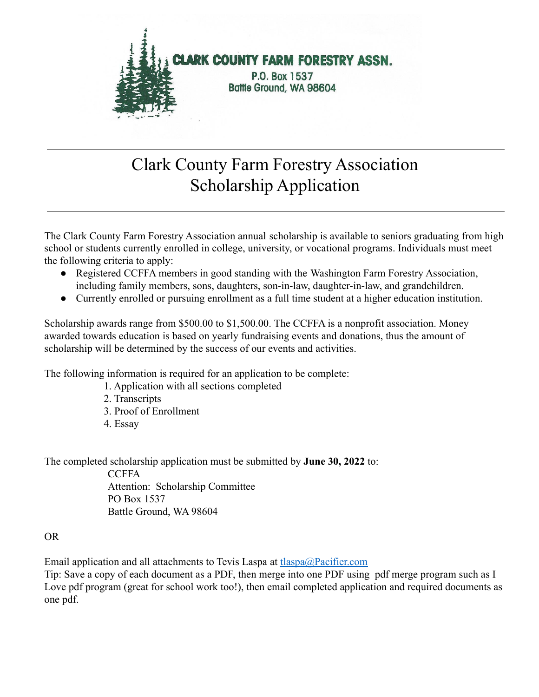

# Clark County Farm Forestry Association Scholarship Application

The Clark County Farm Forestry Association annual scholarship is available to seniors graduating from high school or students currently enrolled in college, university, or vocational programs. Individuals must meet the following criteria to apply:

- Registered CCFFA members in good standing with the Washington Farm Forestry Association, including family members, sons, daughters, son-in-law, daughter-in-law, and grandchildren.
- Currently enrolled or pursuing enrollment as a full time student at a higher education institution.

Scholarship awards range from \$500.00 to \$1,500.00. The CCFFA is a nonprofit association. Money awarded towards education is based on yearly fundraising events and donations, thus the amount of scholarship will be determined by the success of our events and activities.

The following information is required for an application to be complete:

- 1. Application with all sections completed
- 2. Transcripts
- 3. Proof of Enrollment
- 4. Essay

The completed scholarship application must be submitted by **June 30, 2022** to:

**CCFFA** Attention: Scholarship Committee PO Box 1537 Battle Ground, WA 98604

#### OR

Email application and all attachments to Tevis Laspa at the desired as  $\frac{\text{Pacifier.com}}{\text{Pacifier.com}}$ 

Tip: Save a copy of each document as a PDF, then merge into one PDF using pdf merge program such as I Love pdf program (great for school work too!), then email completed application and required documents as one pdf.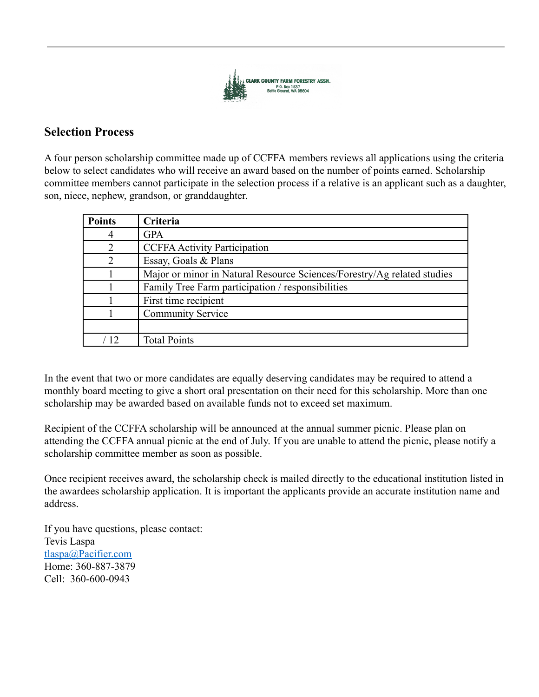

#### **Selection Process**

A four person scholarship committee made up of CCFFA members reviews all applications using the criteria below to select candidates who will receive an award based on the number of points earned. Scholarship committee members cannot participate in the selection process if a relative is an applicant such as a daughter, son, niece, nephew, grandson, or granddaughter.

| <b>Points</b>     | Criteria                                                                |
|-------------------|-------------------------------------------------------------------------|
|                   | <b>GPA</b>                                                              |
|                   | <b>CCFFA Activity Participation</b>                                     |
|                   | Essay, Goals & Plans                                                    |
|                   | Major or minor in Natural Resource Sciences/Forestry/Ag related studies |
|                   | Family Tree Farm participation / responsibilities                       |
|                   | First time recipient                                                    |
|                   | <b>Community Service</b>                                                |
|                   |                                                                         |
| $\left(12\right)$ | <b>Total Points</b>                                                     |

In the event that two or more candidates are equally deserving candidates may be required to attend a monthly board meeting to give a short oral presentation on their need for this scholarship. More than one scholarship may be awarded based on available funds not to exceed set maximum.

Recipient of the CCFFA scholarship will be announced at the annual summer picnic. Please plan on attending the CCFFA annual picnic at the end of July. If you are unable to attend the picnic, please notify a scholarship committee member as soon as possible.

Once recipient receives award, the scholarship check is mailed directly to the educational institution listed in the awardees scholarship application. It is important the applicants provide an accurate institution name and address.

If you have questions, please contact: Tevis Laspa [tlaspa@Pacifier.com](mailto:tlaspa@Pacifier.com) Home: 360-887-3879 Cell: 360-600-0943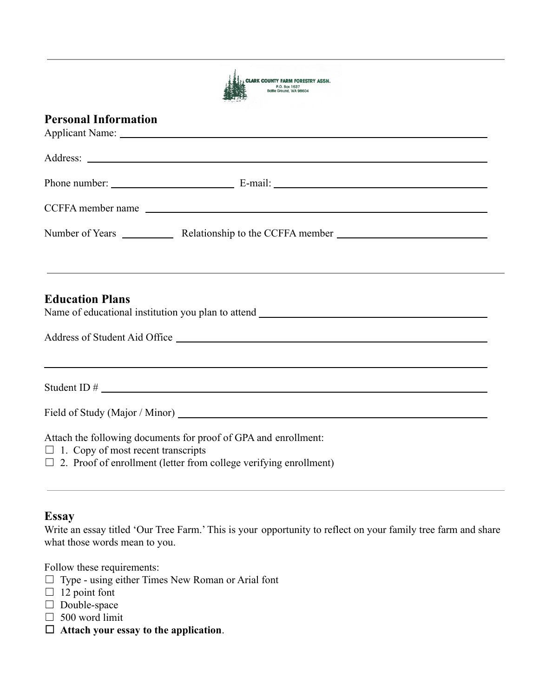| <b>CLARK COUNTY FARM FORESTRY ASSN.</b>  |
|------------------------------------------|
| P.O. Box 1537<br>Battle Ground, WA 98604 |

#### **Personal Information**

|                                           | CCFFA member name                                               |  |
|-------------------------------------------|-----------------------------------------------------------------|--|
|                                           |                                                                 |  |
| <b>Education Plans</b>                    | <u> 1989 - Johann Stoff, amerikansk politiker (* 1908)</u>      |  |
|                                           | Student ID $\#$                                                 |  |
|                                           |                                                                 |  |
| $\Box$ 1. Copy of most recent transcripts | Attach the following documents for proof of GPA and enrollment: |  |

 $\Box$  2. Proof of enrollment (letter from college verifying enrollment)

#### **Essay**

Write an essay titled 'Our Tree Farm.' This is your opportunity to reflect on your family tree farm and share what those words mean to you.

Follow these requirements:

- ☐ Type using either Times New Roman or Arial font
- $\Box$  12 point font
- □ Double-space
- $\Box$  500 word limit
- ☐ **Attach your essay to the application**.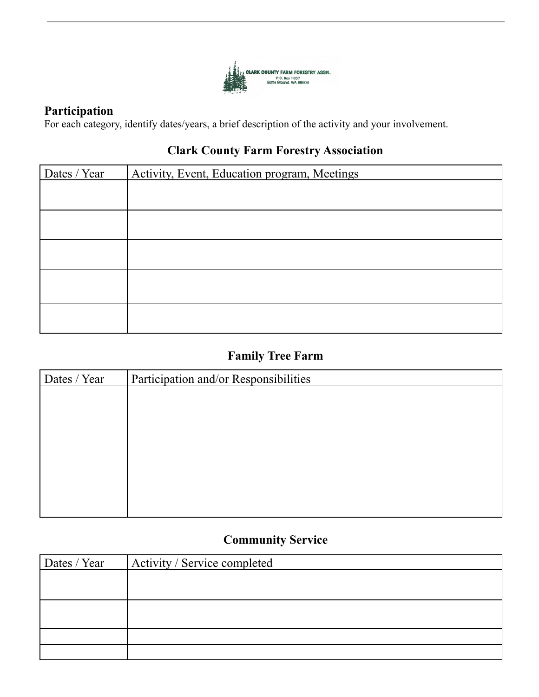

#### **Participation**

For each category, identify dates/years, a brief description of the activity and your involvement.

#### **Clark County Farm Forestry Association**

| Dates / Year | Activity, Event, Education program, Meetings |
|--------------|----------------------------------------------|
|              |                                              |
|              |                                              |
|              |                                              |
|              |                                              |
|              |                                              |
|              |                                              |

## **Family Tree Farm**

| Dates / Year | Participation and/or Responsibilities |
|--------------|---------------------------------------|
|              |                                       |
|              |                                       |
|              |                                       |
|              |                                       |
|              |                                       |
|              |                                       |
|              |                                       |
|              |                                       |

## **Community Service**

| Dates / Year | Activity / Service completed |
|--------------|------------------------------|
|              |                              |
|              |                              |
|              |                              |
|              |                              |
|              |                              |
|              |                              |